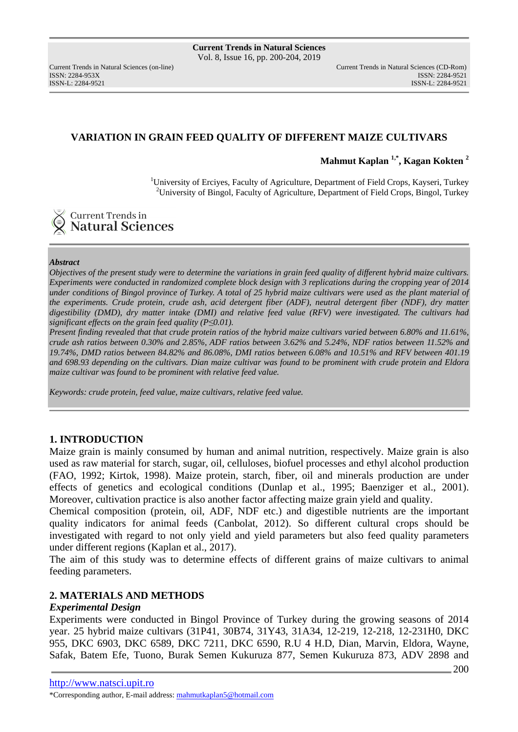ISSN: 2284-953XISSN: 2284-9521

# **VARIATION IN GRAIN FEED QUALITY OF DIFFERENT MAIZE CULTIVARS**

**Mahmut Kaplan 1,\*, Kagan Kokten <sup>2</sup>**

<sup>1</sup>University of Erciyes, Faculty of Agriculture, Department of Field Crops, Kayseri, Turkey <sup>2</sup>University of Bingol, Faculty of Agriculture, Department of Field Crops, Bingol, Turkey

# **Current Trends in Natural Sciences**

### *Abstract*

*Objectives of the present study were to determine the variations in grain feed quality of different hybrid maize cultivars. Experiments were conducted in randomized complete block design with 3 replications during the cropping year of 2014 under conditions of Bingol province of Turkey. A total of 25 hybrid maize cultivars were used as the plant material of the experiments. Crude protein, crude ash, acid detergent fiber (ADF), neutral detergent fiber (NDF), dry matter digestibility (DMD), dry matter intake (DMI) and relative feed value (RFV) were investigated. The cultivars had significant effects on the grain feed quality (P≤0.01).* 

*Present finding revealed that that crude protein ratios of the hybrid maize cultivars varied between 6.80% and 11.61%, crude ash ratios between 0.30% and 2.85%, ADF ratios between 3.62% and 5.24%, NDF ratios between 11.52% and 19.74%, DMD ratios between 84.82% and 86.08%, DMI ratios between 6.08% and 10.51% and RFV between 401.19 and 698.93 depending on the cultivars. Dian maize cultivar was found to be prominent with crude protein and Eldora maize cultivar was found to be prominent with relative feed value.* 

*Keywords: crude protein, feed value, maize cultivars, relative feed value.* 

# **1. INTRODUCTION**

Maize grain is mainly consumed by human and animal nutrition, respectively. Maize grain is also used as raw material for starch, sugar, oil, celluloses, biofuel processes and ethyl alcohol production (FAO, 1992; Kirtok, 1998). Maize protein, starch, fiber, oil and minerals production are under effects of genetics and ecological conditions (Dunlap et al., 1995; Baenziger et al., 2001). Moreover, cultivation practice is also another factor affecting maize grain yield and quality.

Chemical composition (protein, oil, ADF, NDF etc.) and digestible nutrients are the important quality indicators for animal feeds (Canbolat, 2012). So different cultural crops should be investigated with regard to not only yield and yield parameters but also feed quality parameters under different regions (Kaplan et al., 2017).

The aim of this study was to determine effects of different grains of maize cultivars to animal feeding parameters.

# **2. MATERIALS AND METHODS**

### *Experimental Design*

Experiments were conducted in Bingol Province of Turkey during the growing seasons of 2014 year. 25 hybrid maize cultivars (31P41, 30B74, 31Y43, 31A34, 12-219, 12-218, 12-231H0, DKC 955, DKC 6903, DKC 6589, DKC 7211, DKC 6590, R.U 4 H.D, Dian, Marvin, Eldora, Wayne, Safak, Batem Efe, Tuono, Burak Semen Kukuruza 877, Semen Kukuruza 873, ADV 2898 and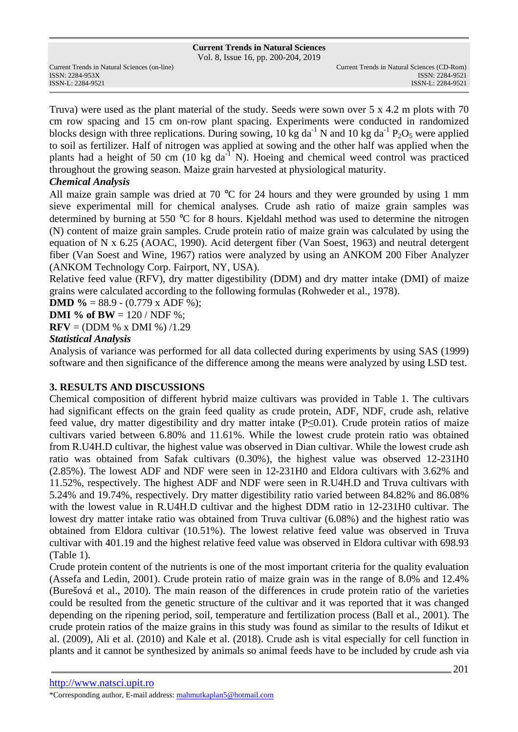Vol. 8, Issue 16, pp. 200-204, 2019

ISSN: 2284-953XISSN: 2284-9521

Truva) were used as the plant material of the study. Seeds were sown over 5 x 4.2 m plots with 70 cm row spacing and 15 cm on-row plant spacing. Experiments were conducted in randomized blocks design with three replications. During sowing, 10 kg da<sup>-1</sup> N and 10 kg da<sup>-1</sup> P<sub>2</sub>O<sub>5</sub> were applied to soil as fertilizer. Half of nitrogen was applied at sowing and the other half was applied when the plants had a height of 50 cm (10 kg  $da^{-1}$  N). Hoeing and chemical weed control was practiced throughout the growing season. Maize grain harvested at physiological maturity.

# *Chemical Analysis*

All maize grain sample was dried at 70 °C for 24 hours and they were grounded by using 1 mm sieve experimental mill for chemical analyses. Crude ash ratio of maize grain samples was determined by burning at 550 °C for 8 hours. Kjeldahl method was used to determine the nitrogen (N) content of maize grain samples. Crude protein ratio of maize grain was calculated by using the equation of N x 6.25 (AOAC, 1990). Acid detergent fiber (Van Soest, 1963) and neutral detergent fiber (Van Soest and Wine, 1967) ratios were analyzed by using an ANKOM 200 Fiber Analyzer (ANKOM Technology Corp. Fairport, NY, USA).

Relative feed value (RFV), dry matter digestibility (DDM) and dry matter intake (DMI) of maize grains were calculated according to the following formulas (Rohweder et al., 1978).

**DMD %** = 88.9 - (0.779 x ADF %);

**DMI** % of **BW** =  $120 / \text{NDF}$  %;

**RFV** = (DDM % x DMI %)  $/1.29$ 

### *Statistical Analysis*

Analysis of variance was performed for all data collected during experiments by using SAS (1999) software and then significance of the difference among the means were analyzed by using LSD test.

# **3. RESULTS AND DISCUSSIONS**

Chemical composition of different hybrid maize cultivars was provided in Table 1. The cultivars had significant effects on the grain feed quality as crude protein, ADF, NDF, crude ash, relative feed value, dry matter digestibility and dry matter intake (P≤0.01). Crude protein ratios of maize cultivars varied between 6.80% and 11.61%. While the lowest crude protein ratio was obtained from R.U4H.D cultivar, the highest value was observed in Dian cultivar. While the lowest crude ash ratio was obtained from Safak cultivars (0.30%), the highest value was observed 12-231H0 (2.85%). The lowest ADF and NDF were seen in 12-231H0 and Eldora cultivars with 3.62% and 11.52%, respectively. The highest ADF and NDF were seen in R.U4H.D and Truva cultivars with 5.24% and 19.74%, respectively. Dry matter digestibility ratio varied between 84.82% and 86.08% with the lowest value in R.U4H.D cultivar and the highest DDM ratio in 12-231H0 cultivar. The lowest dry matter intake ratio was obtained from Truva cultivar (6.08%) and the highest ratio was obtained from Eldora cultivar (10.51%). The lowest relative feed value was observed in Truva cultivar with 401.19 and the highest relative feed value was observed in Eldora cultivar with 698.93 (Table 1).

Crude protein content of the nutrients is one of the most important criteria for the quality evaluation (Assefa and Ledin, 2001). Crude protein ratio of maize grain was in the range of 8.0% and 12.4% (Burešová et al., 2010). The main reason of the differences in crude protein ratio of the varieties could be resulted from the genetic structure of the cultivar and it was reported that it was changed depending on the ripening period, soil, temperature and fertilization process (Ball et al., 2001). The crude protein ratios of the maize grains in this study was found as similar to the results of Idikut et al. (2009), Ali et al. (2010) and Kale et al. (2018). Crude ash is vital especially for cell function in plants and it cannot be synthesized by animals so animal feeds have to be included by crude ash via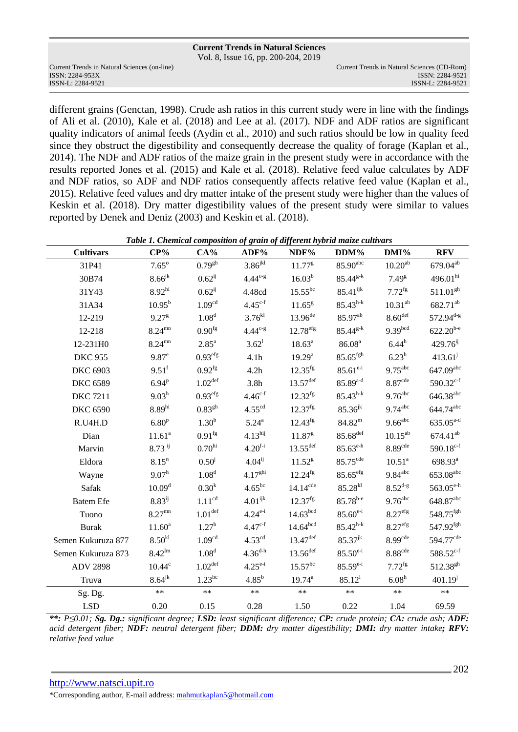Vol. 8, Issue 16, pp. 200-204, 2019

ISSN: 2284-953XISSN: 2284-9521

different grains (Genctan, 1998). Crude ash ratios in this current study were in line with the findings of Ali et al. (2010), Kale et al. (2018) and Lee at al. (2017). NDF and ADF ratios are significant quality indicators of animal feeds (Aydin et al., 2010) and such ratios should be low in quality feed since they obstruct the digestibility and consequently decrease the quality of forage (Kaplan et al., 2014). The NDF and ADF ratios of the maize grain in the present study were in accordance with the results reported Jones et al. (2015) and Kale et al. (2018). Relative feed value calculates by ADF and NDF ratios, so ADF and NDF ratios consequently affects relative feed value (Kaplan et al., 2015). Relative feed values and dry matter intake of the present study were higher than the values of Keskin et al. (2018). Dry matter digestibility values of the present study were similar to values reported by Denek and Deniz (2003) and Keskin et al. (2018).

| <b>Cultivars</b>   | $CP\%$             | $CA\%$               | ADF%                   | NDF%                   | $DDM\%$                | $DMI\%$               | <b>RFV</b>            |
|--------------------|--------------------|----------------------|------------------------|------------------------|------------------------|-----------------------|-----------------------|
| 31P41              | $7.65^\circ$       | 0.79 <sup>gh</sup>   | $3.86$ <sup>jkl</sup>  | $11.77^{\rm g}$        | 85.90 <sup>abc</sup>   | 10.20 <sup>ab</sup>   | 679.04 <sup>ab</sup>  |
| 30B74              | $8.66^{jk}$        | $0.62^{i}$           | $4.44^{c-g}$           | $16.03^{b}$            | $85.44^{g-k}$          | $7.49^{8}$            | 496.01 <sup>hi</sup>  |
| 31Y43              | 8.92 <sup>hi</sup> | $0.62^{i}$           | 4.48cd                 | $15.55^{bc}$           | $85.41^{ijk}$          | $7.72^{fg}$           | $511.01^{gh}$         |
| 31A34              | $10.95^{\rm b}$    | 1.09 <sup>cd</sup>   | $4.45^{c-f}$           | $11.65^{\rm g}$        | $85.43^{h-k}$          | $10.31^{ab}$          | 682.71 <sup>ab</sup>  |
| 12-219             | 9.27 <sup>g</sup>  | 1.08 <sup>d</sup>    | $3.76^{kl}$            | $13.96^{de}$           | 85.97 <sup>ab</sup>    | $8.60$ <sup>def</sup> | $572.94^{d-g}$        |
| 12-218             | $8.24^{mn}$        | 0.90 <sup>fg</sup>   | $4.44^{c-g}$           | 12.78 <sup>efg</sup>   | $85.44^{g-k}$          | 9.39 <sup>bcd</sup>   | $622.20^{b-e}$        |
| 12-231H0           | $8.24^{mn}$        | $2.85^{\rm a}$       | $3.62^1$               | $18.63^a$              | 86.08 <sup>a</sup>     | $6.44^h$              | $429.76^{ij}$         |
| <b>DKC 955</b>     | $9.87^e$           | 0.93 <sup>efg</sup>  | 4.1h                   | $19.29^{\rm a}$        | $85.65$ <sup>fgh</sup> | $6.23^h$              | $413.61^j$            |
| <b>DKC 6903</b>    | $9.51^{\rm f}$     | $0.92^{fg}$          | 4.2h                   | $12.35$ <sup>fg</sup>  | $85.61^{e-i}$          | $9.75^{\text{abc}}$   | 647.09abc             |
| <b>DKC 6589</b>    | 6.94 <sup>p</sup>  | 1.02 <sup>def</sup>  | 3.8 <sub>h</sub>       | $13.57$ <sup>def</sup> | $85.89^{a-d}$          | 8.87 <sup>cde</sup>   | $590.32^{c-f}$        |
| <b>DKC 7211</b>    | 9.03 <sup>h</sup>  | 0.93 <sup>efg</sup>  | $4.46^{c-f}$           | $12.32^{fg}$           | $85.43^{h-k}$          | $9.76$ <sup>abc</sup> | $646.38^{abc}$        |
| <b>DKC 6590</b>    | 8.89 <sup>hi</sup> | 0.83 <sup>gh</sup>   | 4.55 <sup>cd</sup>     | 12.37 <sup>fg</sup>    | $85.36^{jk}$           | $9.74$ <sup>abc</sup> | 644.74abc             |
| R.U4H.D            | 6.80 <sup>p</sup>  | $1.30^{b}$           | $5.24^{\rm a}$         | $12.43^{fg}$           | $84.82^{\rm m}$        | $9.66^{\text{abc}}$   | $635.05^{a-d}$        |
| Dian               | 11.61 <sup>a</sup> | $0.91$ <sup>fg</sup> | 4.13 <sup>hij</sup>    | 11.87 <sup>g</sup>     | 85.68 <sup>def</sup>   | $10.15^{ab}$          | $674.41^{ab}$         |
| Marvin             | $8.73$ ij          | 0.70 <sup>hi</sup>   | $4.20^{f-i}$           | $13.55$ <sup>def</sup> | $85.63^{\text{e-h}}$   | 8.89 <sup>cde</sup>   | $590.18^{c-f}$        |
| Eldora             | $8.15^n$           | $0.50^{j}$           | $4.04^{ij}$            | $11.52^{g}$            | 85.75 <sup>cde</sup>   | 10.51 <sup>a</sup>    | 698.93 <sup>a</sup>   |
| Wayne              | 9.07 <sup>h</sup>  | 1.08 <sup>d</sup>    | $4.17^{ghi}$           | $12.24$ <sup>fg</sup>  | $85.65$ <sup>efg</sup> | $9.84$ <sup>abc</sup> | 653.08 <sup>abc</sup> |
| Safak              | 10.09 <sup>d</sup> | $0.30^{k}$           | $4.65^{bc}$            | $14.14^{\text{cde}}$   | $85.28^{kl}$           | $8.52^{d-g}$          | $563.05^{\text{e-h}}$ |
| <b>Batem Efe</b>   | $8.83^{ij}$        | 1.11 <sup>cd</sup>   | $4.01^{ijk}$           | 12.37 <sup>fg</sup>    | $85.78^{b-e}$          | $9.76$ <sup>abc</sup> | 648.87abc             |
| Tuono              | $8.27^{mn}$        | 1.01 <sup>def</sup>  | $4.24^{e-i}$           | 14.63 <sup>bcd</sup>   | $85.60^{e-i}$          | 8.27 <sup>efg</sup>   | 548.75 <sup>fgh</sup> |
| Burak              | $11.60^a$          | $1.27^b$             | $4.47^{c-f}$           | 14.64 <sup>bcd</sup>   | $85.42^{h-k}$          | 8.27 <sup>efg</sup>   | 547.92fgh             |
| Semen Kukuruza 877 | $8.50^{k}$         | 1.09 <sup>cd</sup>   | $4.53^{\text{cd}}$     | $13.47^{\text{def}}$   | $85.37^{jk}$           | 8.99 <sup>cde</sup>   | 594.77 <sup>cde</sup> |
| Semen Kukuruza 873 | $8.42^{lm}$        | 1.08 <sup>d</sup>    | $4.36^{\rm d \cdot h}$ | $13.56$ <sup>def</sup> | $85.50^{e-i}$          | 8.88 <sup>cde</sup>   | $588.52^{c-f}$        |
| <b>ADV 2898</b>    | $10.44^\circ$      | 1.02 <sup>def</sup>  | $4.25^{e-i}$           | $15.57^{bc}$           | $85.59^{e-i}$          | $7.72^{fg}$           | 512.38 <sup>gh</sup>  |
| Truva              | $8.64^{jk}$        | $1.23^{bc}$          | $4.85^{b}$             | $19.74^{\mathrm{a}}$   | 85.12 <sup>1</sup>     | 6.08 <sup>h</sup>     | $401.19^{j}$          |
| Sg. Dg.            | $\ast\ast$         | $**$                 | $**$                   | $**$                   | $**$                   | $**$                  | $**$                  |
| <b>LSD</b>         | 0.20               | 0.15                 | 0.28                   | 1.50                   | 0.22                   | 1.04                  | 69.59                 |

*Table 1. Chemical composition of grain of different hybrid maize cultivars* 

*\*\*: P≤0.01; Sg. Dg.: significant degree; LSD: least significant difference; CP: crude protein; CA: crude ash; ADF: acid detergent fiber; NDF: neutral detergent fiber; DDM: dry matter digestibility; DMI: dry matter intake; RFV: relative feed value* 

# http://www.natsci.upit.ro

\*Corresponding author, E-mail address: mahmutkaplan5@hotmail.com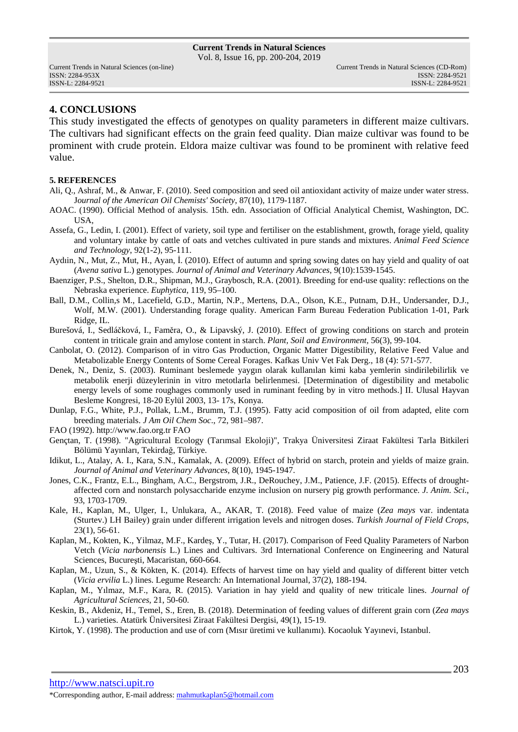Vol. 8, Issue 16, pp. 200-204, 2019

### **4. CONCLUSIONS**

This study investigated the effects of genotypes on quality parameters in different maize cultivars. The cultivars had significant effects on the grain feed quality. Dian maize cultivar was found to be prominent with crude protein. Eldora maize cultivar was found to be prominent with relative feed value.

#### **5. REFERENCES**

- Ali, Q., Ashraf, M., & Anwar, F. (2010). Seed composition and seed oil antioxidant activity of maize under water stress. J*ournal of the American Oil Chemists' Society*, 87(10), 1179-1187.
- AOAC. (1990). Official Method of analysis. 15th. edn. Association of Official Analytical Chemist, Washington, DC. USA,
- Assefa, G., Ledin, I. (2001). Effect of variety, soil type and fertiliser on the establishment, growth, forage yield, quality and voluntary intake by cattle of oats and vetches cultivated in pure stands and mixtures. *Animal Feed Science and Technology*, 92(1-2), 95-111.
- Aydıin, N., Mut, Z., Mut, H., Ayan, İ. (2010). Effect of autumn and spring sowing dates on hay yield and quality of oat (*Avena sativa* L.) genotypes. *Journal of Animal and Veterinary Advances*, 9(10):1539-1545.
- Baenziger, P.S., Shelton, D.R., Shipman, M.J., Graybosch, R.A. (2001). Breeding for end-use quality: reflections on the Nebraska experience. *Euphytica*, 119, 95–100.
- Ball, D.M., Collin,s M., Lacefield, G.D., Martin, N.P., Mertens, D.A., Olson, K.E., Putnam, D.H., Undersander, D.J., Wolf, M.W. (2001). Understanding forage quality. American Farm Bureau Federation Publication 1-01, Park Ridge, IL.
- Burešová, I., Sedláčková, I., Faměra, O., & Lipavský, J. (2010). Effect of growing conditions on starch and protein content in triticale grain and amylose content in starch. *Plant, Soil and Environment,* 56(3), 99-104.
- Canbolat, O. (2012). Comparison of in vitro Gas Production, Organic Matter Digestibility, Relative Feed Value and Metabolizable Energy Contents of Some Cereal Forages. Kafkas Univ Vet Fak Derg., 18 (4): 571-577.
- Denek, N., Deniz, S. (2003). Ruminant beslemede yaygın olarak kullanılan kimi kaba yemlerin sindirilebilirlik ve metabolik enerji düzeylerinin in vitro metotlarla belirlenmesi. [Determination of digestibility and metabolic energy levels of some roughages commonly used in ruminant feeding by in vitro methods.] II. Ulusal Hayvan Besleme Kongresi, 18-20 Eylül 2003, 13- 17s, Konya.
- Dunlap, F.G., White, P.J., Pollak, L.M., Brumm, T.J. (1995). Fatty acid composition of oil from adapted, elite corn breeding materials. *J Am Oil Chem Soc*., 72, 981–987.
- FAO (1992). http://www.fao.org.tr FAO
- Gençtan, T. (1998). "Agricultural Ecology (Tarımsal Ekoloji)", Trakya Üniversitesi Ziraat Fakültesi Tarla Bitkileri Bölümü Yayınları, Tekirdağ, Türkiye.
- Idikut, L., Atalay, A. I., Kara, S.N., Kamalak, A. (2009). Effect of hybrid on starch, protein and yields of maize grain. *Journal of Animal and Veterinary Advances,* 8(10), 1945-1947.
- Jones, C.K., Frantz, E.L., Bingham, A.C., Bergstrom, J.R., DeRouchey, J.M., Patience, J.F. (2015). Effects of droughtaffected corn and nonstarch polysaccharide enzyme inclusion on nursery pig growth performance. *J. Anim. Sci*., 93, 1703-1709.
- Kale, H., Kaplan, M., Ulger, I., Unlukara, A., AKAR, T. (2018). Feed value of maize (*Zea mays* var. indentata (Sturtev.) LH Bailey) grain under different irrigation levels and nitrogen doses. *Turkish Journal of Field Crops*, 23(1), 56-61.
- Kaplan, M., Kokten, K., Yilmaz, M.F., Kardeş, Y., Tutar, H. (2017). Comparison of Feed Quality Parameters of Narbon Vetch (*Vicia narbonensis* L.) Lines and Cultivars. 3rd International Conference on Engineering and Natural Sciences, Bucureşti, Macaristan, 660-664.
- Kaplan, M., Uzun, S., & Kökten, K. (2014). Effects of harvest time on hay yield and quality of different bitter vetch (*Vicia ervilia* L.) lines. Legume Research: An International Journal, 37(2), 188-194.
- Kaplan, M., Yılmaz, M.F., Kara, R. (2015). Variation in hay yield and quality of new triticale lines. *Journal of Agricultural Sciences*, 21, 50-60.
- Keskin, B., Akdeniz, H., Temel, S., Eren, B. (2018). Determination of feeding values of different grain corn (*Zea mays* L.) varieties. Atatürk Üniversitesi Ziraat Fakültesi Dergisi, 49(1), 15-19.
- Kirtok, Y. (1998). The production and use of corn (Mısır üretimi ve kullanımı). Kocaoluk Yayınevi, Istanbul.

http://www.natsci.upit.ro

<sup>\*</sup>Corresponding author, E-mail address: mahmutkaplan5@hotmail.com